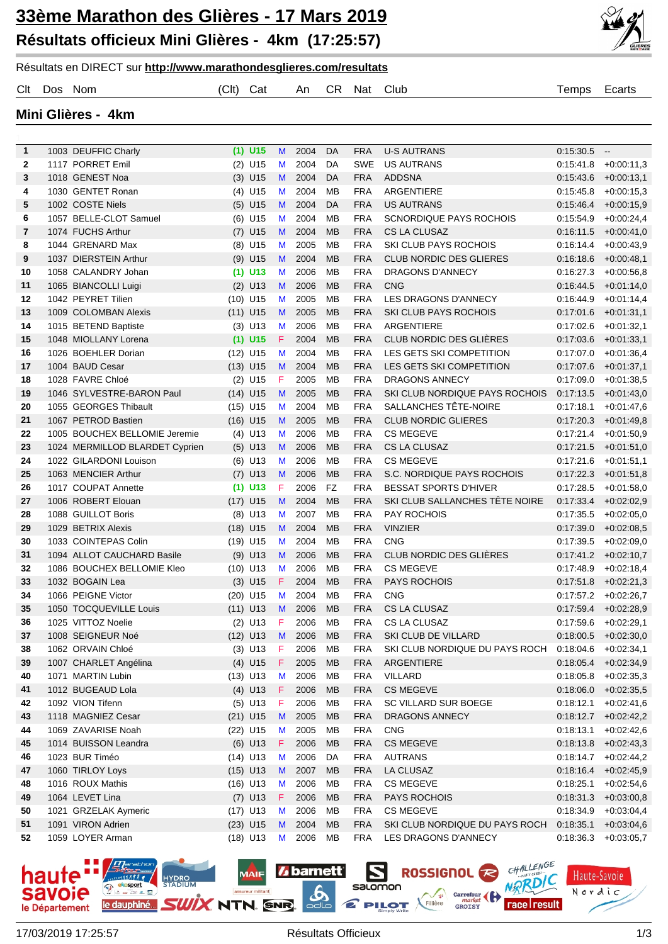## **33ème Marathon des Glières - 17 Mars 2019 Résultats officieux Mini Glières - 4km (17:25:57)**





Clt Dos Nom (Clt) Cat An CR Nat Club Temps Ecarts

**Mini Glières - 4km**

| $\mathbf{1}$ | 1003 DEUFFIC Charly                          | $(1)$ U15              | M                | 2004               | DA                     | <b>FRA</b>               | <b>U-S AUTRANS</b>                  | 0:15:30.5              | $\overline{\phantom{a}}$     |
|--------------|----------------------------------------------|------------------------|------------------|--------------------|------------------------|--------------------------|-------------------------------------|------------------------|------------------------------|
| $\mathbf{2}$ | 1117 PORRET Emil                             | $(2)$ U15              | M                | 2004               | DA                     | <b>SWE</b>               | <b>US AUTRANS</b>                   | 0:15:41.8              | $+0.00:11,3$                 |
| 3            | 1018 GENEST Noa                              | $(3)$ U15              | M                | 2004               | DA                     | <b>FRA</b>               | <b>ADDSNA</b>                       | 0:15:43.6              | $+0.00:13,1$                 |
| 4            | 1030 GENTET Ronan                            | $(4)$ U15              | M                | 2004               | MB                     | <b>FRA</b>               | ARGENTIERE                          | 0:15:45.8              | $+0.00:15,3$                 |
| 5            | 1002 COSTE Niels                             | $(5)$ U15              | M                | 2004               | DA                     | <b>FRA</b>               | <b>US AUTRANS</b>                   | 0:15.46.4              | $+0.00:15,9$                 |
| 6            | 1057 BELLE-CLOT Samuel                       | $(6)$ U15              | M                | 2004               | MB                     | <b>FRA</b>               | <b>SCNORDIQUE PAYS ROCHOIS</b>      | 0:15:54.9              | $+0.00:24,4$                 |
| 7            | 1074 FUCHS Arthur                            | $(7)$ U15              | M                | 2004               | <b>MB</b>              | <b>FRA</b>               | CS LA CLUSAZ                        | 0:16:11.5              | $+0.00:41,0$                 |
| 8            | 1044 GRENARD Max                             | $(8)$ U15              | M                | 2005               | <b>MB</b>              | <b>FRA</b>               | SKI CLUB PAYS ROCHOIS               | 0:16:14.4              | $+0.00:43,9$                 |
| 9            | 1037 DIERSTEIN Arthur                        | $(9)$ U15              | M                | 2004               | <b>MB</b>              | <b>FRA</b>               | <b>CLUB NORDIC DES GLIERES</b>      | 0.16.18.6              | $+0.00:48,1$                 |
| 10           | 1058 CALANDRY Johan                          | $(1)$ U13              | M                | 2006               | MB                     | <b>FRA</b>               | <b>DRAGONS D'ANNECY</b>             | 0.16:27.3              | $+0.00:56,8$                 |
| 11           | 1065 BIANCOLLI Luigi                         | $(2)$ U13              | M                | 2006               | <b>MB</b>              | <b>FRA</b>               | <b>CNG</b>                          | 0:16:44.5              | $+0.01:14,0$                 |
| 12           | 1042 PEYRET Tilien                           | $(10)$ U15             | M                | 2005               | <b>MB</b>              | <b>FRA</b>               | LES DRAGONS D'ANNECY                | 0:16:44.9              | $+0.01:14,4$                 |
| 13<br>14     | 1009 COLOMBAN Alexis                         | $(11)$ U15             | M                | 2005<br>2006       | <b>MB</b><br><b>MB</b> | <b>FRA</b><br><b>FRA</b> | SKI CLUB PAYS ROCHOIS<br>ARGENTIERE | 0:17:01.6<br>0:17:02.6 | $+0.01:31,1$                 |
| 15           | 1015 BETEND Baptiste<br>1048 MIOLLANY Lorena | $(3)$ U13<br>$(1)$ U15 | M<br>$\mathsf F$ | 2004               | <b>MB</b>              | <b>FRA</b>               | CLUB NORDIC DES GLIÈRES             | 0:17:03.6              | $+0.01:32,1$<br>$+0.01:33,1$ |
| 16           | 1026 BOEHLER Dorian                          | $(12)$ U15             | M                | 2004               | <b>MB</b>              | <b>FRA</b>               | LES GETS SKI COMPETITION            | 0:17:07.0              | $+0.01:36.4$                 |
| 17           | 1004 BAUD Cesar                              | $(13)$ U15             | M                | 2004               | <b>MB</b>              | <b>FRA</b>               | LES GETS SKI COMPETITION            | 0:17:07.6              | $+0.01:37,1$                 |
| 18           | 1028 FAVRE Chloé                             | $(2)$ U15              | F                | 2005               | <b>MB</b>              | <b>FRA</b>               | <b>DRAGONS ANNECY</b>               | 0:17:09.0              | $+0.01:38,5$                 |
| 19           | 1046 SYLVESTRE-BARON Paul                    | $(14)$ U15             | M                | 2005               | <b>MB</b>              | <b>FRA</b>               | SKI CLUB NORDIQUE PAYS ROCHOIS      | 0:17:13.5              | $+0.01:43,0$                 |
| 20           | 1055 GEORGES Thibault                        | $(15)$ U15             | M                | 2004               | <b>MB</b>              | <b>FRA</b>               | SALLANCHES TÊTE-NOIRE               | 0:17:18.1              | $+0.01:47,6$                 |
| 21           | 1067 PETROD Bastien                          | $(16)$ U15             | M                | 2005               | <b>MB</b>              | <b>FRA</b>               | <b>CLUB NORDIC GLIERES</b>          | 0:17:20.3              | $+0.01:49,8$                 |
| 22           | 1005 BOUCHEX BELLOMIE Jeremie                | $(4)$ U13              | M                | 2006               | <b>MB</b>              | <b>FRA</b>               | <b>CS MEGEVE</b>                    | 0:17:21.4              | $+0.01:50,9$                 |
| 23           | 1024 MERMILLOD BLARDET Cyprien               | $(5)$ U13              | M                | 2006               | <b>MB</b>              | <b>FRA</b>               | CS LA CLUSAZ                        | 0:17:21.5              | $+0.01:51,0$                 |
| 24           | 1022 GILARDONI Louison                       | $(6)$ U13              | M                | 2006               | <b>MB</b>              | <b>FRA</b>               | <b>CS MEGEVE</b>                    | 0:17:21.6              | $+0.01:51,1$                 |
| 25           | 1063 MENCIER Arthur                          | $(7)$ U13              | M                | 2006               | <b>MB</b>              | <b>FRA</b>               | S.C. NORDIQUE PAYS ROCHOIS          | 0:17:22.3              | $+0.01:51,8$                 |
| 26           | 1017 COUPAT Annette                          | $(1)$ U13              | F                | 2006               | <b>FZ</b>              | <b>FRA</b>               | <b>BESSAT SPORTS D'HIVER</b>        | 0:17:28.5              | $+0.01:58,0$                 |
| 27           | 1006 ROBERT Elouan                           | $(17)$ U15             | M                | 2004               | <b>MB</b>              | <b>FRA</b>               | SKI CLUB SALLANCHES TÊTE NOIRE      | 0.17:33.4              | $+0.02:02,9$                 |
| 28           | 1088 GUILLOT Boris                           | $(8)$ U13              | M                | 2007               | <b>MB</b>              | <b>FRA</b>               | <b>PAY ROCHOIS</b>                  | 0:17:35.5              | $+0.02:05,0$                 |
| 29           | 1029 BETRIX Alexis                           | $(18)$ U15             | M                | 2004               | <b>MB</b>              | <b>FRA</b>               | <b>VINZIER</b>                      | 0:17:39.0              | $+0.02:08,5$                 |
| 30           | 1033 COINTEPAS Colin                         | $(19)$ U15             | M                | 2004               | <b>MB</b>              | <b>FRA</b>               | <b>CNG</b>                          | 0:17:39.5              | $+0.02:09,0$                 |
| 31           | 1094 ALLOT CAUCHARD Basile                   | $(9)$ U13              | M                | 2006               | <b>MB</b>              | <b>FRA</b>               | CLUB NORDIC DES GLIÈRES             | 0.17.41.2              | $+0.02:10,7$                 |
| 32           | 1086 BOUCHEX BELLOMIE Kleo                   | $(10)$ U13             | M                | 2006               | <b>MB</b>              | <b>FRA</b>               | <b>CS MEGEVE</b>                    | 0:17:48.9              | $+0.02:18,4$                 |
| 33           | 1032 BOGAIN Lea                              | $(3)$ U15              | F                | 2004               | <b>MB</b>              | <b>FRA</b>               | <b>PAYS ROCHOIS</b>                 | 0:17:51.8              | $+0.02:21,3$                 |
| 34           | 1066 PEIGNE Victor                           | $(20)$ U15             | M                | 2004               | MB                     | <b>FRA</b>               | <b>CNG</b>                          | 0.17.57.2              | $+0.02:26,7$                 |
| 35           | 1050 TOCQUEVILLE Louis                       | $(11)$ U13             | M                | 2006               | МB                     | <b>FRA</b>               | CS LA CLUSAZ                        |                        | $0:17:59.4$ +0:02:28,9       |
| 36           | 1025 VITTOZ Noelie                           | $(2)$ U13              | F                | 2006               | <b>MB</b>              | <b>FRA</b>               | CS LA CLUSAZ                        |                        | $0:17:59.6$ +0:02:29,1       |
| 37           | 1008 SEIGNEUR Noé                            |                        |                  | (12) U13 M 2006 MB |                        | FRA                      | SKI CLUB DE VILLARD                 |                        | $0:18:00.5$ +0:02:30,0       |
| 38           | 1062 ORVAIN Chloé                            | $(3)$ U13              | $\vert F \vert$  | 2006               | MВ                     | <b>FRA</b>               | SKI CLUB NORDIQUE DU PAYS ROCH      |                        | $0:18:04.6$ +0:02:34,1       |
| 39           | 1007 CHARLET Angélina                        | $(4)$ U15              | F                | 2005               | МB                     | <b>FRA</b>               | ARGENTIERE                          |                        | $0:18:05.4$ +0:02:34,9       |
| 40           | 1071 MARTIN Lubin                            | $(13)$ U13             | M                | 2006               | MB                     | <b>FRA</b>               | VILLARD                             | 0:18:05.8              | $+0.02:35,3$                 |
| 41           | 1012 BUGEAUD Lola                            | $(4)$ U13              | F                | 2006               | МB                     | <b>FRA</b>               | <b>CS MEGEVE</b>                    |                        | $0.18.06.0 + 0.02.35,5$      |
| 42           | 1092 VION Tifenn                             | $(5)$ U13              | F                | 2006               | MB                     | <b>FRA</b>               | SC VILLARD SUR BOEGE                | 0:18:12.1              | $+0.02:41,6$                 |
| 43           | 1118 MAGNIEZ Cesar                           | $(21)$ U15             | M                | 2005               | МB                     | <b>FRA</b>               | <b>DRAGONS ANNECY</b>               |                        | $0:18:12.7$ +0:02:42,2       |
| 44           | 1069 ZAVARISE Noah                           | (22) U15               | M                | 2005               | MB                     | <b>FRA</b>               | <b>CNG</b>                          | 0:18:13.1              | $+0.02:42,6$                 |
| 45           | 1014 BUISSON Leandra                         | $(6)$ U13              | F.               | 2006               | МB                     | <b>FRA</b>               | <b>CS MEGEVE</b>                    |                        | $0.18.13.8 + 0.02.43.3$      |
| 46           | 1023 BUR Timéo                               | $(14)$ U13             | M                | 2006               | DA                     | <b>FRA</b>               | <b>AUTRANS</b>                      |                        | $0:18:14.7$ +0:02:44,2       |
| 47           | 1060 TIRLOY Loys                             | $(15)$ U13             | M                | 2007               | МB                     | <b>FRA</b>               | LA CLUSAZ                           |                        | $0:18:16.4$ +0.02:45,9       |
| 48           | 1016 ROUX Mathis                             | $(16)$ U13             | M                | 2006               | MB                     | <b>FRA</b>               | <b>CS MEGEVE</b>                    | 0:18:25.1              | $+0.02.54,6$                 |
| 49           | 1064 LEVET Lina                              | $(7)$ U13              | F.               | 2006               | МB                     | <b>FRA</b>               | <b>PAYS ROCHOIS</b>                 |                        | $0.18.31.3 + 0.03.00,8$      |
| 50           | 1021 GRZELAK Aymeric                         | $(17)$ U13             | M                | 2006               | МB                     | <b>FRA</b>               | <b>CS MEGEVE</b>                    | 0:18:34.9              | $+0.03.04,4$                 |
| 51           | 1091 VIRON Adrien                            | $(23)$ U15             | M                | 2004               | МB                     | <b>FRA</b>               | SKI CLUB NORDIQUE DU PAYS ROCH      | 0:18:35.1              | $+0.03.04,6$                 |
| 52           | 1059 LOYER Arman                             | $(18)$ U13             | M                | 2006               | MВ                     | <b>FRA</b>               | LES DRAGONS D'ANNECY                | 0:18:36.3              | $+0.03:05,7$                 |



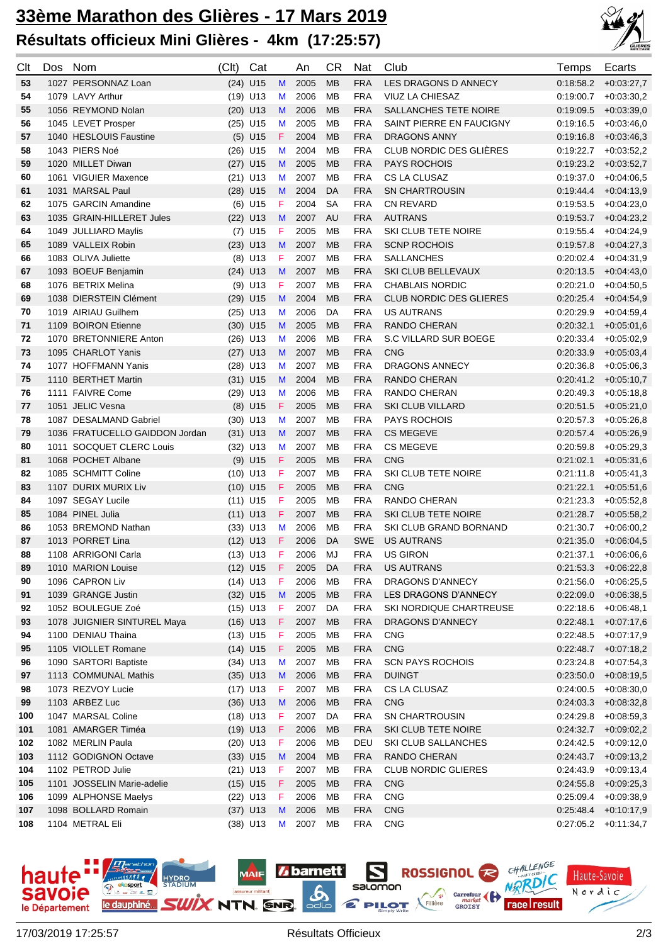## **33ème Marathon des Glières - 17 Mars 2019 Résultats officieux Mini Glières - 4km (17:25:57)**



| Clt      | Dos | Nom                                               | (Clt) | Cat                      |                  | An           | <b>CR</b>       | <b>Nat</b>               | Club                                               | Temps                  | Ecarts                                   |
|----------|-----|---------------------------------------------------|-------|--------------------------|------------------|--------------|-----------------|--------------------------|----------------------------------------------------|------------------------|------------------------------------------|
| 53       |     | 1027 PERSONNAZ Loan                               |       | $(24)$ U15               | M                | 2005         | <b>MB</b>       | <b>FRA</b>               | LES DRAGONS D ANNECY                               | 0:18:58.2              | $+0.03:27,7$                             |
| 54       |     | 1079 LAVY Arthur                                  |       | $(19)$ U13               | M                | 2006         | <b>MB</b>       | <b>FRA</b>               | <b>VIUZ LA CHIESAZ</b>                             | 0:19:00.7              | $+0.03:30,2$                             |
| 55       |     | 1056 REYMOND Nolan                                |       | $(20)$ U13               | M                | 2006         | <b>MB</b>       | <b>FRA</b>               | SALLANCHES TETE NOIRE                              | 0:19:09.5              | $+0.03:39,0$                             |
| 56       |     | 1045 LEVET Prosper                                |       | $(25)$ U15               | M                | 2005         | MВ              | <b>FRA</b>               | SAINT PIERRE EN FAUCIGNY                           | 0:19:16.5              | $+0.03:46,0$                             |
| 57       |     | 1040 HESLOUIS Faustine                            |       | $(5)$ U15                | F                | 2004         | <b>MB</b>       | <b>FRA</b>               | <b>DRAGONS ANNY</b>                                | 0.19.16.8              | $+0.03:46,3$                             |
| 58       |     | 1043 PIERS Noé                                    |       | $(26)$ U15               | M                | 2004         | MB              | <b>FRA</b>               | CLUB NORDIC DES GLIÈRES                            | 0.19:22.7              | $+0.03:52,2$                             |
| 59       |     | 1020 MILLET Diwan                                 |       | $(27)$ U15               | M                | 2005         | <b>MB</b>       | <b>FRA</b>               | <b>PAYS ROCHOIS</b>                                | 0.19.23.2              | $+0.03.52,7$                             |
| 60       |     | 1061 VIGUIER Maxence                              |       | $(21)$ U13               | M                | 2007         | MB              | <b>FRA</b>               | CS LA CLUSAZ                                       | 0:19:37.0              | $+0.04:06.5$                             |
| 61       |     | 1031 MARSAL Paul                                  |       | $(28)$ U15               | M                | 2004         | DA              | <b>FRA</b>               | <b>SN CHARTROUSIN</b>                              | 0.19:44.4              | $+0.04:13,9$                             |
| 62       |     | 1075 GARCIN Amandine                              |       | $(6)$ U15                | F                | 2004         | <b>SA</b>       | <b>FRA</b>               | <b>CN REVARD</b>                                   | 0:19:53.5              | $+0.04:23,0$                             |
| 63       |     | 1035 GRAIN-HILLERET Jules                         |       | $(22)$ U13               | M                | 2007         | AU              | <b>FRA</b>               | <b>AUTRANS</b>                                     | 0:19:53.7              | $+0.04:23,2$                             |
| 64       |     | 1049 JULLIARD Maylis                              |       | $(7)$ U15                | F                | 2005         | MB              | <b>FRA</b>               | SKI CLUB TETE NOIRE                                | 0:19:55.4              | $+0.04:24,9$                             |
| 65       |     | 1089 VALLEIX Robin                                |       | $(23)$ U13               | M                | 2007         | <b>MB</b>       | <b>FRA</b>               | <b>SCNP ROCHOIS</b>                                | 0:19:57.8              | $+0.04:27,3$                             |
| 66       |     | 1083 OLIVA Juliette                               |       | $(8)$ U13                | F                | 2007         | MB              | <b>FRA</b>               | <b>SALLANCHES</b>                                  | 0:20:02.4              | $+0.04:31,9$                             |
| 67       |     | 1093 BOEUF Benjamin                               |       | $(24)$ U13               | M                | 2007         | <b>MB</b>       | <b>FRA</b>               | SKI CLUB BELLEVAUX                                 | 0:20:13.5              | $+0.04:43,0$                             |
| 68       |     | 1076 BETRIX Melina                                |       | $(9)$ U13                | F                | 2007         | MB              | <b>FRA</b>               | <b>CHABLAIS NORDIC</b>                             | 0:20:21.0              | $+0.04:50.5$                             |
| 69       |     | 1038 DIERSTEIN Clément                            |       | $(29)$ U15               | M                | 2004         | <b>MB</b>       | <b>FRA</b>               | <b>CLUB NORDIC DES GLIERES</b>                     | 0.20.25.4              | $+0.04.54,9$                             |
| 70       |     | 1019 AIRIAU Guilhem                               |       | $(25)$ U13               | M                | 2006         | DA              | <b>FRA</b>               | <b>US AUTRANS</b>                                  | 0:20:29.9              | $+0.04.59,4$                             |
| 71       |     | 1109 BOIRON Etienne                               |       | $(30)$ U15               | M                | 2005         | <b>MB</b>       | <b>FRA</b>               | <b>RANDO CHERAN</b>                                | 0:20:32.1              | $+0.05:01,6$                             |
| 72       |     | 1070 BRETONNIERE Anton                            |       | $(26)$ U13               | M                | 2006         | MВ              | <b>FRA</b>               | S.C VILLARD SUR BOEGE                              | 0:20:33.4              | $+0.05:02,9$                             |
| 73       |     | 1095 CHARLOT Yanis                                |       | $(27)$ U13               | M                | 2007         | <b>MB</b>       | <b>FRA</b>               | <b>CNG</b>                                         | 0:20:33.9              | $+0.05.03,4$                             |
| 74       |     | 1077 HOFFMANN Yanis                               |       | $(28)$ U13               | M                | 2007         | <b>MB</b>       | <b>FRA</b>               | <b>DRAGONS ANNECY</b>                              | 0:20:36.8              | $+0.05:06,3$                             |
| 75       |     | 1110 BERTHET Martin                               |       | $(31)$ U15               | M                | 2004         | <b>MB</b>       | <b>FRA</b>               | RANDO CHERAN                                       | 0:20:41.2              | $+0.05:10,7$                             |
| 76       |     | 1111 FAIVRE Come                                  |       | $(29)$ U13               | M                | 2006         | <b>MB</b>       | <b>FRA</b>               | RANDO CHERAN                                       | 0.20.49.3              | $+0.05:18,8$                             |
| 77       |     | 1051 JELIC Vesna                                  |       | $(8)$ U15                | $\mathsf F$      | 2005         | <b>MB</b>       | <b>FRA</b>               | <b>SKI CLUB VILLARD</b>                            | 0:20:51.5              | $+0.05:21,0$                             |
| 78       |     | 1087 DESALMAND Gabriel                            |       | $(30)$ U13               | M                | 2007         | MB              | <b>FRA</b>               | PAYS ROCHOIS                                       | 0:20:57.3              | $+0.05:26,8$                             |
| 79       |     | 1036 FRATUCELLO GAIDDON Jordan                    |       | $(31)$ U13               | M                | 2007         | <b>MB</b>       | <b>FRA</b>               | <b>CS MEGEVE</b>                                   | 0:20:57.4              | $+0.05:26,9$                             |
| 80       |     | 1011 SOCQUET CLERC Louis                          |       | $(32)$ U13               | M                | 2007         | MB              | <b>FRA</b>               | <b>CS MEGEVE</b>                                   | 0:20:59.8              | $+0.05:29,3$                             |
| 81       |     | 1068 POCHET Albane                                |       | $(9)$ U15                | F                | 2005         | MB              | <b>FRA</b>               | <b>CNG</b>                                         | 0.21:02.1              | $+0.05:31,6$                             |
| 82       |     | 1085 SCHMITT Coline                               |       | $(10)$ U13               | F                | 2007         | <b>MB</b>       | <b>FRA</b>               | SKI CLUB TETE NOIRE                                | 0:21:11.8              | $+0.05:41,3$                             |
| 83       |     | 1107 DURIX MURIX Liv                              |       | $(10)$ U15               | F                | 2005         | MB              | <b>FRA</b>               | <b>CNG</b>                                         | 0:21:22.1              | $+0.05:51,6$                             |
| 84       |     | 1097 SEGAY Lucile                                 |       | $(11)$ U15               | F                | 2005         | <b>MB</b>       | <b>FRA</b>               | <b>RANDO CHERAN</b>                                | 0:21:23.3              | $+0.05.52,8$                             |
| 85       |     | 1084 PINEL Julia                                  |       | $(11)$ U13               | $\mathsf F$      | 2007         | MB              | <b>FRA</b>               | <b>SKI CLUB TETE NOIRE</b>                         | 0:21:28.7              | $+0.05.58,2$                             |
| 86       |     | 1053 BREMOND Nathan                               |       | $(33)$ U13               | M                | 2006         | MB              | <b>FRA</b>               | SKI CLUB GRAND BORNAND                             | 0:21:30.7              | $+0.06:00,2$                             |
| 87       |     | 1013 PORRET Lina                                  |       | $(12)$ U13               | $\mathsf F$      | 2006         | DA              | <b>SWE</b>               | <b>US AUTRANS</b>                                  | 0:21:35.0              | $+0.06.04,5$                             |
| 88       |     | 1108 ARRIGONI Carla                               |       | $(13)$ U13               | -F               | 2006         | MJ              | <b>FRA</b>               | <b>US GIRON</b>                                    | 0.21:37.1              | $+0.06:06,6$                             |
| 89       |     | 1010 MARION Louise                                |       | $(12)$ U15               | F                | 2005         | DA              | <b>FRA</b>               | <b>US AUTRANS</b>                                  | 0:21:53.3              | $+0.06:22,8$                             |
| 90       |     | 1096 CAPRON Liv                                   |       | $(14)$ U13               | F                | 2006         | MB              | <b>FRA</b>               | DRAGONS D'ANNECY                                   | 0:21:56.0              | $+0.06:25,5$                             |
| 91       |     | 1039 GRANGE Justin                                |       | $(32)$ U15               | M                | 2005         | MB              | <b>FRA</b>               | LES DRAGONS D'ANNECY                               | 0.22:09.0              | $+0.06:38,5$                             |
| 92       |     | 1052 BOULEGUE Zoé                                 |       | $(15)$ U13<br>$(16)$ U13 | F<br>$\mathsf F$ | 2007<br>2007 | DA<br><b>MB</b> | <b>FRA</b><br><b>FRA</b> | SKI NORDIQUE CHARTREUSE<br><b>DRAGONS D'ANNECY</b> | 0:22:18.6<br>0:22:48.1 | $+0.06:48,1$                             |
| 93       |     | 1078 JUIGNIER SINTUREL Maya<br>1100 DENIAU Thaina |       | $(13)$ U15               | F                | 2005         | MB              | <b>FRA</b>               | <b>CNG</b>                                         | 0:22:48.5              | $+0.07:17,6$                             |
| 94<br>95 |     | 1105 VIOLLET Romane                               |       | $(14)$ U15               | F                | 2005         | MB              | <b>FRA</b>               | CNG                                                | 0:22:48.7              | $+0.07:17,9$<br>$+0.07:18,2$             |
| 96       |     | 1090 SARTORI Baptiste                             |       | $(34)$ U13               | M                | 2007         | MB              | <b>FRA</b>               | <b>SCN PAYS ROCHOIS</b>                            | 0:23:24.8              | $+0.07.54.3$                             |
| 97       |     | 1113 COMMUNAL Mathis                              |       |                          |                  | 2006         | <b>MB</b>       | <b>FRA</b>               | <b>DUINGT</b>                                      | 0.23:50.0              | $+0.08:19.5$                             |
| 98       |     | 1073 REZVOY Lucie                                 |       | $(35)$ U13<br>$(17)$ U13 | M<br>F           | 2007         | MB              | <b>FRA</b>               | CS LA CLUSAZ                                       | 0:24:00.5              | $+0.08:30,0$                             |
| 99       |     | 1103 ARBEZ Luc                                    |       | $(36)$ U13               | M                | 2006         | МB              | <b>FRA</b>               | <b>CNG</b>                                         |                        | $0:24:03.3$ $+0.08:32.8$                 |
| 100      |     | 1047 MARSAL Coline                                |       | $(18)$ U13               | F                | 2007         |                 | <b>FRA</b>               | <b>SN CHARTROUSIN</b>                              | 0:24:29.8              |                                          |
| 101      |     | 1081 AMARGER Timéa                                |       | $(19)$ U13               | F                | 2006         | DA<br>МB        | <b>FRA</b>               | SKI CLUB TETE NOIRE                                |                        | $+0.08.59,3$<br>$0:24:32.7$ $+0.09:02,2$ |
| 102      |     | 1082 MERLIN Paula                                 |       | $(20)$ U13               | F                | 2006         | MB              | DEU                      | SKI CLUB SALLANCHES                                | 0.24:42.5              | $+0.09:12,0$                             |
| 103      |     | 1112 GODIGNON Octave                              |       | $(33)$ U15               | M                | 2004         | МB              | <b>FRA</b>               | RANDO CHERAN                                       |                        | $0:24:43.7$ $+0.09:13.2$                 |
| 104      |     | 1102 PETROD Julie                                 |       | $(21)$ U13               | F                | 2007         | MB              | <b>FRA</b>               | <b>CLUB NORDIC GLIERES</b>                         | 0:24:43.9              | $+0.09:13,4$                             |
| 105      |     | 1101 JOSSELIN Marie-adelie                        |       | $(15)$ U15               | F                | 2005         | МB              | <b>FRA</b>               | <b>CNG</b>                                         | 0:24:55.8              | $+0.09:25,3$                             |
| 106      |     | 1099 ALPHONSE Maelys                              |       | $(22)$ U13               | F                | 2006         | MB              | <b>FRA</b>               | <b>CNG</b>                                         | 0:25:09.4              | $+0.09.38,9$                             |
| 107      |     | 1098 BOLLARD Romain                               |       | $(37)$ U13               | M                | 2006         | МB              | <b>FRA</b>               | CNG                                                |                        | $0:25:48.4$ +0:10:17,9                   |
| 108      |     | 1104 METRAL Eli                                   |       | $(38)$ U13 M             |                  | 2007 MB      |                 | <b>FRA</b>               | <b>CNG</b>                                         |                        | $0:27:05.2$ +0:11:34,7                   |
|          |     |                                                   |       |                          |                  |              |                 |                          |                                                    |                        |                                          |